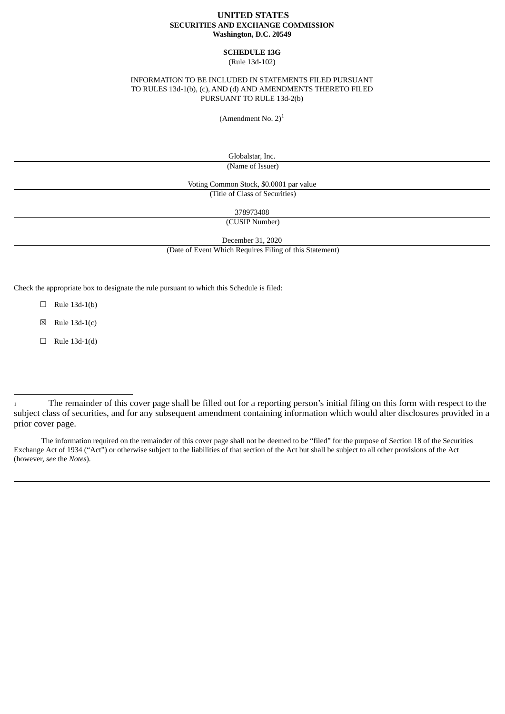## **UNITED STATES SECURITIES AND EXCHANGE COMMISSION Washington, D.C. 20549**

#### **SCHEDULE 13G** (Rule 13d-102)

## INFORMATION TO BE INCLUDED IN STATEMENTS FILED PURSUANT TO RULES 13d-1(b), (c), AND (d) AND AMENDMENTS THERETO FILED PURSUANT TO RULE 13d-2(b)

(Amendment No.  $2)^{1}$ 

Globalstar, Inc. (Name of Issuer)

Voting Common Stock, \$0.0001 par value

(Title of Class of Securities)

378973408

(CUSIP Number)

December 31, 2020

(Date of Event Which Requires Filing of this Statement)

Check the appropriate box to designate the rule pursuant to which this Schedule is filed:

 $\Box$  Rule 13d-1(b)

 $\boxtimes$  Rule 13d-1(c)

 $\Box$  Rule 13d-1(d)

The information required on the remainder of this cover page shall not be deemed to be "filed" for the purpose of Section 18 of the Securities Exchange Act of 1934 ("Act") or otherwise subject to the liabilities of that section of the Act but shall be subject to all other provisions of the Act (however, *see* the *Notes*).

<sup>1</sup> The remainder of this cover page shall be filled out for a reporting person's initial filing on this form with respect to the subject class of securities, and for any subsequent amendment containing information which would alter disclosures provided in a prior cover page.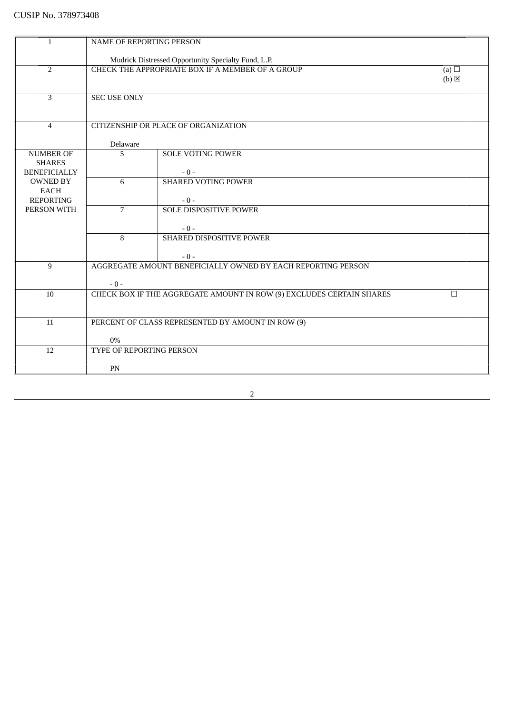| $\mathbf{1}$                    | NAME OF REPORTING PERSON                                                       |                                                              |                 |
|---------------------------------|--------------------------------------------------------------------------------|--------------------------------------------------------------|-----------------|
|                                 |                                                                                |                                                              |                 |
|                                 |                                                                                | Mudrick Distressed Opportunity Specialty Fund, L.P.          |                 |
| $\overline{2}$                  |                                                                                | CHECK THE APPROPRIATE BOX IF A MEMBER OF A GROUP             | (a) $\Box$      |
|                                 |                                                                                |                                                              | $(b) \boxtimes$ |
| 3                               | <b>SEC USE ONLY</b>                                                            |                                                              |                 |
|                                 |                                                                                |                                                              |                 |
|                                 |                                                                                |                                                              |                 |
| $\overline{4}$                  |                                                                                | CITIZENSHIP OR PLACE OF ORGANIZATION                         |                 |
|                                 |                                                                                |                                                              |                 |
|                                 | Delaware                                                                       |                                                              |                 |
| <b>NUMBER OF</b>                | 5                                                                              | <b>SOLE VOTING POWER</b>                                     |                 |
| <b>SHARES</b>                   |                                                                                |                                                              |                 |
| <b>BENEFICIALLY</b>             |                                                                                | $-0-$                                                        |                 |
| <b>OWNED BY</b>                 | 6                                                                              | <b>SHARED VOTING POWER</b>                                   |                 |
| <b>EACH</b><br><b>REPORTING</b> |                                                                                | $-0-$                                                        |                 |
| PERSON WITH                     | $\overline{7}$                                                                 | <b>SOLE DISPOSITIVE POWER</b>                                |                 |
|                                 |                                                                                |                                                              |                 |
|                                 |                                                                                | $-0-$                                                        |                 |
|                                 | 8                                                                              | SHARED DISPOSITIVE POWER                                     |                 |
|                                 |                                                                                |                                                              |                 |
|                                 |                                                                                | $-0-$                                                        |                 |
| 9                               |                                                                                | AGGREGATE AMOUNT BENEFICIALLY OWNED BY EACH REPORTING PERSON |                 |
|                                 | $-0-$                                                                          |                                                              |                 |
| 10                              | CHECK BOX IF THE AGGREGATE AMOUNT IN ROW (9) EXCLUDES CERTAIN SHARES<br>$\Box$ |                                                              |                 |
|                                 |                                                                                |                                                              |                 |
|                                 |                                                                                |                                                              |                 |
| 11                              | PERCENT OF CLASS REPRESENTED BY AMOUNT IN ROW (9)                              |                                                              |                 |
|                                 |                                                                                |                                                              |                 |
|                                 | $0\%$                                                                          |                                                              |                 |
| 12                              | TYPE OF REPORTING PERSON                                                       |                                                              |                 |
|                                 | PN                                                                             |                                                              |                 |
|                                 |                                                                                |                                                              |                 |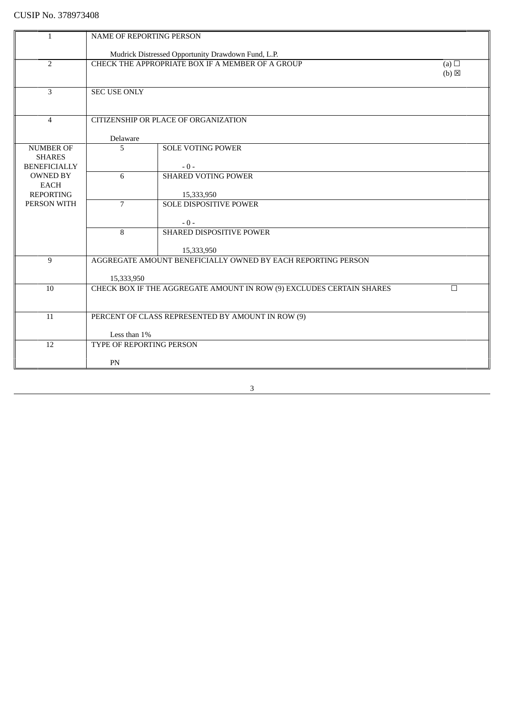# CUSIP No. 378973408

| $\mathbf{1}$        |                                                                                | NAME OF REPORTING PERSON                                     |                   |  |
|---------------------|--------------------------------------------------------------------------------|--------------------------------------------------------------|-------------------|--|
|                     |                                                                                |                                                              |                   |  |
|                     |                                                                                | Mudrick Distressed Opportunity Drawdown Fund, L.P.           |                   |  |
| $\overline{2}$      |                                                                                | CHECK THE APPROPRIATE BOX IF A MEMBER OF A GROUP             | (a) $\Box$        |  |
|                     |                                                                                |                                                              | $(b)$ $\boxtimes$ |  |
|                     |                                                                                |                                                              |                   |  |
| 3                   | <b>SEC USE ONLY</b>                                                            |                                                              |                   |  |
|                     |                                                                                |                                                              |                   |  |
| $\overline{4}$      |                                                                                | CITIZENSHIP OR PLACE OF ORGANIZATION                         |                   |  |
|                     |                                                                                |                                                              |                   |  |
|                     | Delaware                                                                       |                                                              |                   |  |
| <b>NUMBER OF</b>    | 5                                                                              | <b>SOLE VOTING POWER</b>                                     |                   |  |
| <b>SHARES</b>       |                                                                                |                                                              |                   |  |
| <b>BENEFICIALLY</b> |                                                                                | $-0-$                                                        |                   |  |
| <b>OWNED BY</b>     | 6                                                                              | <b>SHARED VOTING POWER</b>                                   |                   |  |
| <b>EACH</b>         |                                                                                |                                                              |                   |  |
| <b>REPORTING</b>    |                                                                                | 15,333,950                                                   |                   |  |
| PERSON WITH         | $\overline{7}$                                                                 | SOLE DISPOSITIVE POWER                                       |                   |  |
|                     |                                                                                |                                                              |                   |  |
|                     | 8                                                                              | $-0-$                                                        |                   |  |
|                     |                                                                                | SHARED DISPOSITIVE POWER                                     |                   |  |
|                     |                                                                                | 15,333,950                                                   |                   |  |
| 9                   |                                                                                | AGGREGATE AMOUNT BENEFICIALLY OWNED BY EACH REPORTING PERSON |                   |  |
|                     |                                                                                |                                                              |                   |  |
|                     | 15,333,950                                                                     |                                                              |                   |  |
| 10                  | CHECK BOX IF THE AGGREGATE AMOUNT IN ROW (9) EXCLUDES CERTAIN SHARES<br>$\Box$ |                                                              |                   |  |
|                     |                                                                                |                                                              |                   |  |
|                     |                                                                                |                                                              |                   |  |
| 11                  | PERCENT OF CLASS REPRESENTED BY AMOUNT IN ROW (9)                              |                                                              |                   |  |
|                     |                                                                                |                                                              |                   |  |
|                     | Less than 1%                                                                   |                                                              |                   |  |
| 12                  | TYPE OF REPORTING PERSON                                                       |                                                              |                   |  |
|                     |                                                                                |                                                              |                   |  |
|                     | PN                                                                             |                                                              |                   |  |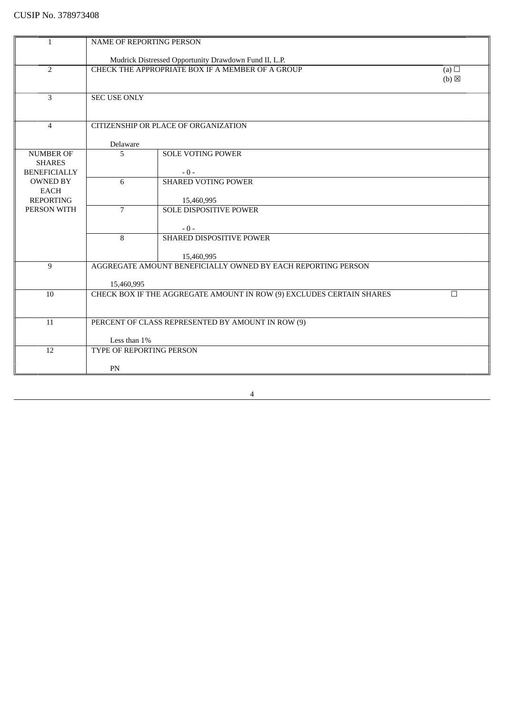| $\mathbf{1}$        | <b>NAME OF REPORTING PERSON</b>                                                              |                                                       |                 |  |
|---------------------|----------------------------------------------------------------------------------------------|-------------------------------------------------------|-----------------|--|
|                     |                                                                                              |                                                       |                 |  |
|                     |                                                                                              | Mudrick Distressed Opportunity Drawdown Fund II, L.P. |                 |  |
| $\overline{2}$      |                                                                                              | CHECK THE APPROPRIATE BOX IF A MEMBER OF A GROUP      | (a) $\Box$      |  |
|                     |                                                                                              |                                                       | $(b) \boxtimes$ |  |
|                     |                                                                                              |                                                       |                 |  |
| $\overline{3}$      | <b>SEC USE ONLY</b>                                                                          |                                                       |                 |  |
|                     |                                                                                              |                                                       |                 |  |
| $\overline{4}$      |                                                                                              | CITIZENSHIP OR PLACE OF ORGANIZATION                  |                 |  |
|                     |                                                                                              |                                                       |                 |  |
|                     | Delaware                                                                                     |                                                       |                 |  |
| <b>NUMBER OF</b>    | 5                                                                                            | <b>SOLE VOTING POWER</b>                              |                 |  |
| <b>SHARES</b>       |                                                                                              |                                                       |                 |  |
| <b>BENEFICIALLY</b> |                                                                                              | $-0-$                                                 |                 |  |
| <b>OWNED BY</b>     | 6                                                                                            | <b>SHARED VOTING POWER</b>                            |                 |  |
| <b>EACH</b>         |                                                                                              |                                                       |                 |  |
| <b>REPORTING</b>    |                                                                                              | 15,460,995                                            |                 |  |
| PERSON WITH         | $\overline{7}$                                                                               | <b>SOLE DISPOSITIVE POWER</b>                         |                 |  |
|                     |                                                                                              |                                                       |                 |  |
|                     |                                                                                              | $-0-$                                                 |                 |  |
|                     | 8                                                                                            | SHARED DISPOSITIVE POWER                              |                 |  |
|                     |                                                                                              |                                                       |                 |  |
|                     |                                                                                              | 15,460,995                                            |                 |  |
| 9                   | AGGREGATE AMOUNT BENEFICIALLY OWNED BY EACH REPORTING PERSON                                 |                                                       |                 |  |
|                     |                                                                                              |                                                       |                 |  |
| 10                  | 15,460,995<br>CHECK BOX IF THE AGGREGATE AMOUNT IN ROW (9) EXCLUDES CERTAIN SHARES<br>$\Box$ |                                                       |                 |  |
|                     |                                                                                              |                                                       |                 |  |
|                     |                                                                                              |                                                       |                 |  |
| 11                  | PERCENT OF CLASS REPRESENTED BY AMOUNT IN ROW (9)                                            |                                                       |                 |  |
|                     |                                                                                              |                                                       |                 |  |
|                     | Less than 1%                                                                                 |                                                       |                 |  |
| $\overline{12}$     | TYPE OF REPORTING PERSON                                                                     |                                                       |                 |  |
|                     |                                                                                              |                                                       |                 |  |
|                     | PN                                                                                           |                                                       |                 |  |
|                     |                                                                                              |                                                       |                 |  |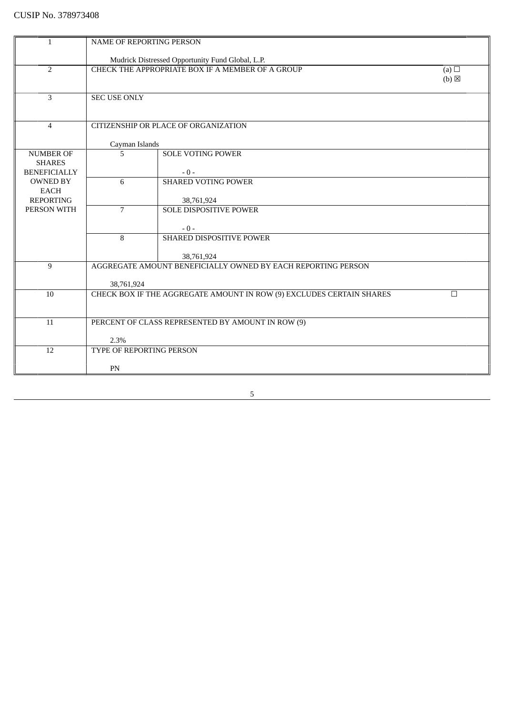| <b>NAME OF REPORTING PERSON</b><br>$\mathbf{1}$<br>Mudrick Distressed Opportunity Fund Global, L.P.<br>$\overline{2}$<br>CHECK THE APPROPRIATE BOX IF A MEMBER OF A GROUP<br>(a) $\Box$<br>$(b) \boxtimes$<br>3<br><b>SEC USE ONLY</b><br>CITIZENSHIP OR PLACE OF ORGANIZATION<br>$\overline{4}$<br>Cayman Islands<br>5<br><b>SOLE VOTING POWER</b><br><b>NUMBER OF</b><br><b>SHARES</b><br><b>BENEFICIALLY</b><br>$-0-$<br>6<br><b>SHARED VOTING POWER</b><br><b>OWNED BY</b><br>EACH<br><b>REPORTING</b><br>38,761,924<br>PERSON WITH<br>$\overline{7}$<br><b>SOLE DISPOSITIVE POWER</b><br>$-0-$<br>SHARED DISPOSITIVE POWER<br>8<br>38,761,924<br>AGGREGATE AMOUNT BENEFICIALLY OWNED BY EACH REPORTING PERSON<br>9<br>38,761,924<br>10<br>CHECK BOX IF THE AGGREGATE AMOUNT IN ROW (9) EXCLUDES CERTAIN SHARES<br>$\Box$ |  |  |  |  |  |
|-------------------------------------------------------------------------------------------------------------------------------------------------------------------------------------------------------------------------------------------------------------------------------------------------------------------------------------------------------------------------------------------------------------------------------------------------------------------------------------------------------------------------------------------------------------------------------------------------------------------------------------------------------------------------------------------------------------------------------------------------------------------------------------------------------------------------------|--|--|--|--|--|
|                                                                                                                                                                                                                                                                                                                                                                                                                                                                                                                                                                                                                                                                                                                                                                                                                               |  |  |  |  |  |
|                                                                                                                                                                                                                                                                                                                                                                                                                                                                                                                                                                                                                                                                                                                                                                                                                               |  |  |  |  |  |
|                                                                                                                                                                                                                                                                                                                                                                                                                                                                                                                                                                                                                                                                                                                                                                                                                               |  |  |  |  |  |
|                                                                                                                                                                                                                                                                                                                                                                                                                                                                                                                                                                                                                                                                                                                                                                                                                               |  |  |  |  |  |
|                                                                                                                                                                                                                                                                                                                                                                                                                                                                                                                                                                                                                                                                                                                                                                                                                               |  |  |  |  |  |
|                                                                                                                                                                                                                                                                                                                                                                                                                                                                                                                                                                                                                                                                                                                                                                                                                               |  |  |  |  |  |
|                                                                                                                                                                                                                                                                                                                                                                                                                                                                                                                                                                                                                                                                                                                                                                                                                               |  |  |  |  |  |
|                                                                                                                                                                                                                                                                                                                                                                                                                                                                                                                                                                                                                                                                                                                                                                                                                               |  |  |  |  |  |
|                                                                                                                                                                                                                                                                                                                                                                                                                                                                                                                                                                                                                                                                                                                                                                                                                               |  |  |  |  |  |
|                                                                                                                                                                                                                                                                                                                                                                                                                                                                                                                                                                                                                                                                                                                                                                                                                               |  |  |  |  |  |
|                                                                                                                                                                                                                                                                                                                                                                                                                                                                                                                                                                                                                                                                                                                                                                                                                               |  |  |  |  |  |
|                                                                                                                                                                                                                                                                                                                                                                                                                                                                                                                                                                                                                                                                                                                                                                                                                               |  |  |  |  |  |
|                                                                                                                                                                                                                                                                                                                                                                                                                                                                                                                                                                                                                                                                                                                                                                                                                               |  |  |  |  |  |
|                                                                                                                                                                                                                                                                                                                                                                                                                                                                                                                                                                                                                                                                                                                                                                                                                               |  |  |  |  |  |
|                                                                                                                                                                                                                                                                                                                                                                                                                                                                                                                                                                                                                                                                                                                                                                                                                               |  |  |  |  |  |
|                                                                                                                                                                                                                                                                                                                                                                                                                                                                                                                                                                                                                                                                                                                                                                                                                               |  |  |  |  |  |
|                                                                                                                                                                                                                                                                                                                                                                                                                                                                                                                                                                                                                                                                                                                                                                                                                               |  |  |  |  |  |
|                                                                                                                                                                                                                                                                                                                                                                                                                                                                                                                                                                                                                                                                                                                                                                                                                               |  |  |  |  |  |
|                                                                                                                                                                                                                                                                                                                                                                                                                                                                                                                                                                                                                                                                                                                                                                                                                               |  |  |  |  |  |
|                                                                                                                                                                                                                                                                                                                                                                                                                                                                                                                                                                                                                                                                                                                                                                                                                               |  |  |  |  |  |
|                                                                                                                                                                                                                                                                                                                                                                                                                                                                                                                                                                                                                                                                                                                                                                                                                               |  |  |  |  |  |
|                                                                                                                                                                                                                                                                                                                                                                                                                                                                                                                                                                                                                                                                                                                                                                                                                               |  |  |  |  |  |
|                                                                                                                                                                                                                                                                                                                                                                                                                                                                                                                                                                                                                                                                                                                                                                                                                               |  |  |  |  |  |
|                                                                                                                                                                                                                                                                                                                                                                                                                                                                                                                                                                                                                                                                                                                                                                                                                               |  |  |  |  |  |
|                                                                                                                                                                                                                                                                                                                                                                                                                                                                                                                                                                                                                                                                                                                                                                                                                               |  |  |  |  |  |
|                                                                                                                                                                                                                                                                                                                                                                                                                                                                                                                                                                                                                                                                                                                                                                                                                               |  |  |  |  |  |
|                                                                                                                                                                                                                                                                                                                                                                                                                                                                                                                                                                                                                                                                                                                                                                                                                               |  |  |  |  |  |
|                                                                                                                                                                                                                                                                                                                                                                                                                                                                                                                                                                                                                                                                                                                                                                                                                               |  |  |  |  |  |
| 11<br>PERCENT OF CLASS REPRESENTED BY AMOUNT IN ROW (9)                                                                                                                                                                                                                                                                                                                                                                                                                                                                                                                                                                                                                                                                                                                                                                       |  |  |  |  |  |
|                                                                                                                                                                                                                                                                                                                                                                                                                                                                                                                                                                                                                                                                                                                                                                                                                               |  |  |  |  |  |
| 2.3%                                                                                                                                                                                                                                                                                                                                                                                                                                                                                                                                                                                                                                                                                                                                                                                                                          |  |  |  |  |  |
| TYPE OF REPORTING PERSON<br>12                                                                                                                                                                                                                                                                                                                                                                                                                                                                                                                                                                                                                                                                                                                                                                                                |  |  |  |  |  |
|                                                                                                                                                                                                                                                                                                                                                                                                                                                                                                                                                                                                                                                                                                                                                                                                                               |  |  |  |  |  |
| PN                                                                                                                                                                                                                                                                                                                                                                                                                                                                                                                                                                                                                                                                                                                                                                                                                            |  |  |  |  |  |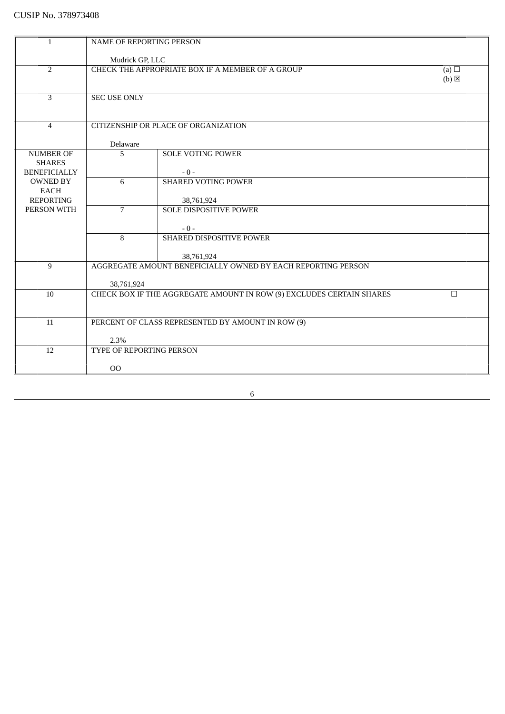| 1                               | NAME OF REPORTING PERSON                                                       |                                                  |                   |
|---------------------------------|--------------------------------------------------------------------------------|--------------------------------------------------|-------------------|
|                                 | Mudrick GP, LLC                                                                |                                                  |                   |
| $\overline{2}$                  |                                                                                | CHECK THE APPROPRIATE BOX IF A MEMBER OF A GROUP | (a) $\Box$        |
|                                 |                                                                                |                                                  | $(b)$ $\boxtimes$ |
|                                 |                                                                                |                                                  |                   |
| $\overline{3}$                  | <b>SEC USE ONLY</b>                                                            |                                                  |                   |
|                                 |                                                                                |                                                  |                   |
|                                 |                                                                                |                                                  |                   |
| $\overline{4}$                  |                                                                                | CITIZENSHIP OR PLACE OF ORGANIZATION             |                   |
|                                 | Delaware                                                                       |                                                  |                   |
| <b>NUMBER OF</b>                | 5                                                                              | <b>SOLE VOTING POWER</b>                         |                   |
| <b>SHARES</b>                   |                                                                                |                                                  |                   |
| <b>BENEFICIALLY</b>             |                                                                                | $-0-$                                            |                   |
| <b>OWNED BY</b>                 | 6                                                                              | <b>SHARED VOTING POWER</b>                       |                   |
| <b>EACH</b>                     |                                                                                |                                                  |                   |
| <b>REPORTING</b><br>PERSON WITH | $\overline{7}$                                                                 | 38,761,924<br><b>SOLE DISPOSITIVE POWER</b>      |                   |
|                                 |                                                                                |                                                  |                   |
|                                 |                                                                                | $-0-$                                            |                   |
|                                 | 8                                                                              | SHARED DISPOSITIVE POWER                         |                   |
|                                 |                                                                                |                                                  |                   |
|                                 |                                                                                | 38,761,924                                       |                   |
| 9                               | AGGREGATE AMOUNT BENEFICIALLY OWNED BY EACH REPORTING PERSON                   |                                                  |                   |
|                                 |                                                                                |                                                  |                   |
|                                 | 38,761,924                                                                     |                                                  |                   |
| 10                              | CHECK BOX IF THE AGGREGATE AMOUNT IN ROW (9) EXCLUDES CERTAIN SHARES<br>$\Box$ |                                                  |                   |
|                                 |                                                                                |                                                  |                   |
| 11                              | PERCENT OF CLASS REPRESENTED BY AMOUNT IN ROW (9)                              |                                                  |                   |
|                                 |                                                                                |                                                  |                   |
|                                 | 2.3%                                                                           |                                                  |                   |
| 12                              | TYPE OF REPORTING PERSON                                                       |                                                  |                   |
|                                 |                                                                                |                                                  |                   |
|                                 | O <sub>O</sub>                                                                 |                                                  |                   |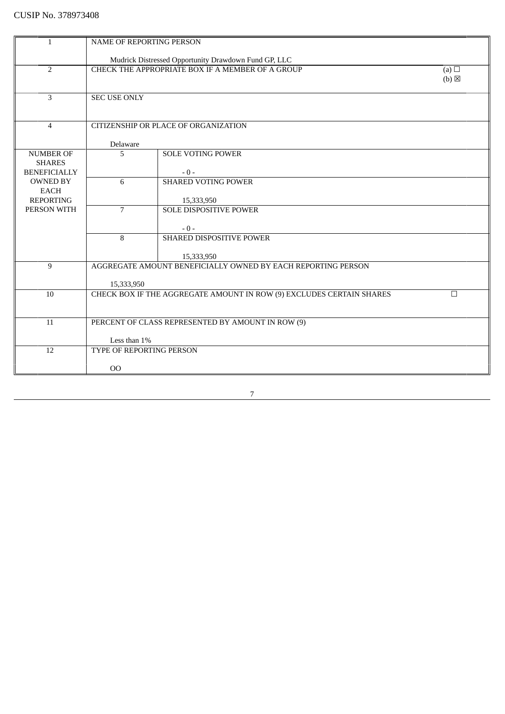| $\mathbf{1}$             | <b>NAME OF REPORTING PERSON</b>                                                              |                                                      |                 |
|--------------------------|----------------------------------------------------------------------------------------------|------------------------------------------------------|-----------------|
|                          |                                                                                              |                                                      |                 |
|                          |                                                                                              | Mudrick Distressed Opportunity Drawdown Fund GP, LLC |                 |
| $\overline{2}$           |                                                                                              | CHECK THE APPROPRIATE BOX IF A MEMBER OF A GROUP     | (a) $\Box$      |
|                          |                                                                                              |                                                      | $(b) \boxtimes$ |
| 3                        | <b>SEC USE ONLY</b>                                                                          |                                                      |                 |
|                          |                                                                                              |                                                      |                 |
|                          |                                                                                              |                                                      |                 |
| $\overline{4}$           |                                                                                              | CITIZENSHIP OR PLACE OF ORGANIZATION                 |                 |
|                          |                                                                                              |                                                      |                 |
|                          | Delaware                                                                                     |                                                      |                 |
| <b>NUMBER OF</b>         | 5                                                                                            | <b>SOLE VOTING POWER</b>                             |                 |
| <b>SHARES</b>            |                                                                                              |                                                      |                 |
| <b>BENEFICIALLY</b>      |                                                                                              | $-0-$                                                |                 |
| <b>OWNED BY</b>          | 6                                                                                            | <b>SHARED VOTING POWER</b>                           |                 |
| EACH<br><b>REPORTING</b> |                                                                                              | 15,333,950                                           |                 |
| PERSON WITH              | $\overline{7}$                                                                               | <b>SOLE DISPOSITIVE POWER</b>                        |                 |
|                          |                                                                                              |                                                      |                 |
|                          |                                                                                              | $-0-$                                                |                 |
|                          | 8                                                                                            | <b>SHARED DISPOSITIVE POWER</b>                      |                 |
|                          |                                                                                              |                                                      |                 |
|                          |                                                                                              | 15,333,950                                           |                 |
| 9                        | AGGREGATE AMOUNT BENEFICIALLY OWNED BY EACH REPORTING PERSON                                 |                                                      |                 |
|                          |                                                                                              |                                                      |                 |
| 10                       | 15,333,950<br>CHECK BOX IF THE AGGREGATE AMOUNT IN ROW (9) EXCLUDES CERTAIN SHARES<br>$\Box$ |                                                      |                 |
|                          |                                                                                              |                                                      |                 |
|                          |                                                                                              |                                                      |                 |
| 11                       | PERCENT OF CLASS REPRESENTED BY AMOUNT IN ROW (9)                                            |                                                      |                 |
|                          |                                                                                              |                                                      |                 |
|                          | Less than 1%                                                                                 |                                                      |                 |
| $\overline{12}$          | TYPE OF REPORTING PERSON                                                                     |                                                      |                 |
|                          |                                                                                              |                                                      |                 |
|                          | 00                                                                                           |                                                      |                 |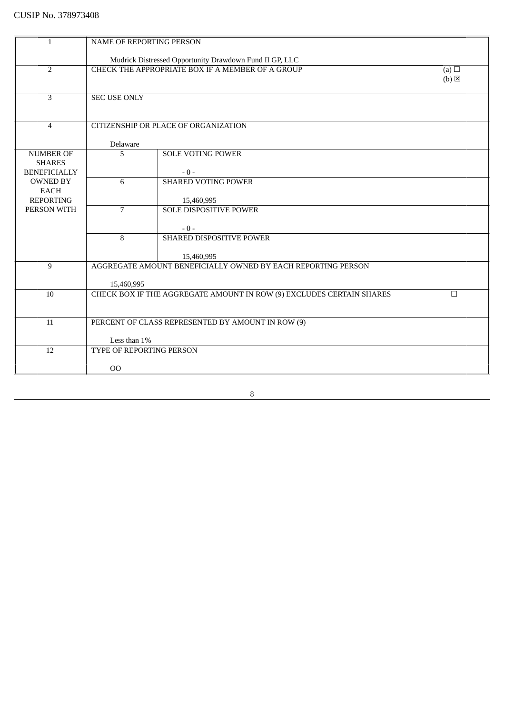| 1                                    | NAME OF REPORTING PERSON                                                       |                                                                            |                   |
|--------------------------------------|--------------------------------------------------------------------------------|----------------------------------------------------------------------------|-------------------|
|                                      | Mudrick Distressed Opportunity Drawdown Fund II GP, LLC                        |                                                                            |                   |
| $\overline{2}$                       |                                                                                | CHECK THE APPROPRIATE BOX IF A MEMBER OF A GROUP                           | (a) $\Box$        |
|                                      |                                                                                |                                                                            | $(b)$ $\boxtimes$ |
|                                      |                                                                                |                                                                            |                   |
| $\overline{3}$                       | <b>SEC USE ONLY</b>                                                            |                                                                            |                   |
|                                      |                                                                                |                                                                            |                   |
|                                      |                                                                                |                                                                            |                   |
| $\overline{4}$                       |                                                                                | CITIZENSHIP OR PLACE OF ORGANIZATION                                       |                   |
|                                      |                                                                                |                                                                            |                   |
|                                      | Delaware                                                                       |                                                                            |                   |
| <b>NUMBER OF</b>                     | 5                                                                              | <b>SOLE VOTING POWER</b>                                                   |                   |
| <b>SHARES</b><br><b>BENEFICIALLY</b> |                                                                                | $-0-$                                                                      |                   |
| <b>OWNED BY</b>                      | 6                                                                              | <b>SHARED VOTING POWER</b>                                                 |                   |
| <b>EACH</b>                          |                                                                                |                                                                            |                   |
| <b>REPORTING</b>                     |                                                                                | 15,460,995                                                                 |                   |
| PERSON WITH                          | $\overline{7}$                                                                 | <b>SOLE DISPOSITIVE POWER</b>                                              |                   |
|                                      |                                                                                |                                                                            |                   |
|                                      |                                                                                | $-0-$                                                                      |                   |
|                                      | 8                                                                              | SHARED DISPOSITIVE POWER                                                   |                   |
|                                      |                                                                                |                                                                            |                   |
| 9                                    |                                                                                | 15,460,995<br>AGGREGATE AMOUNT BENEFICIALLY OWNED BY EACH REPORTING PERSON |                   |
|                                      |                                                                                |                                                                            |                   |
|                                      | 15,460,995                                                                     |                                                                            |                   |
| 10                                   | CHECK BOX IF THE AGGREGATE AMOUNT IN ROW (9) EXCLUDES CERTAIN SHARES<br>$\Box$ |                                                                            |                   |
|                                      |                                                                                |                                                                            |                   |
|                                      |                                                                                |                                                                            |                   |
| 11                                   | PERCENT OF CLASS REPRESENTED BY AMOUNT IN ROW (9)                              |                                                                            |                   |
|                                      |                                                                                |                                                                            |                   |
|                                      | Less than 1%                                                                   |                                                                            |                   |
| 12                                   | TYPE OF REPORTING PERSON                                                       |                                                                            |                   |
|                                      | O <sub>O</sub>                                                                 |                                                                            |                   |
|                                      |                                                                                |                                                                            |                   |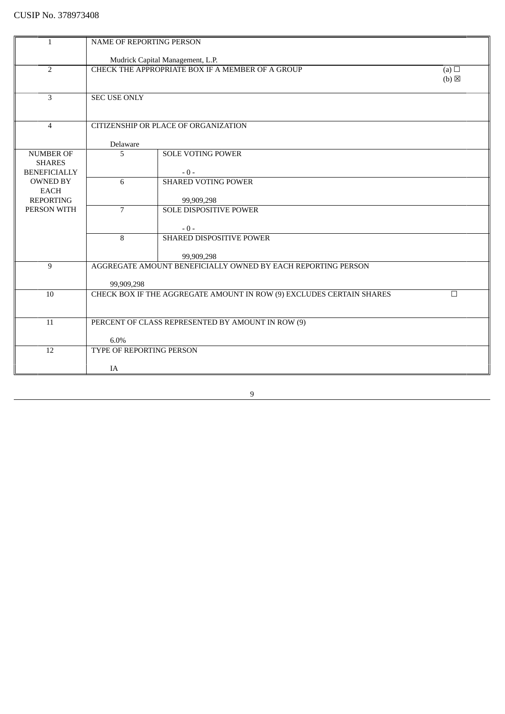| <b>NAME OF REPORTING PERSON</b><br>$\mathbf{1}$<br>Mudrick Capital Management, L.P.<br>$\overline{2}$<br>CHECK THE APPROPRIATE BOX IF A MEMBER OF A GROUP<br>(a) $\Box$<br>$(b)$ $\boxtimes$<br>3<br><b>SEC USE ONLY</b><br>CITIZENSHIP OR PLACE OF ORGANIZATION<br>$\overline{4}$<br>Delaware<br>5<br><b>SOLE VOTING POWER</b><br><b>NUMBER OF</b><br><b>SHARES</b><br><b>BENEFICIALLY</b><br>$-0-$<br>6<br><b>SHARED VOTING POWER</b><br><b>OWNED BY</b><br><b>EACH</b><br><b>REPORTING</b><br>99,909,298<br>PERSON WITH<br>$\overline{7}$<br><b>SOLE DISPOSITIVE POWER</b><br>$-0-$<br>SHARED DISPOSITIVE POWER<br>8<br>99,909,298<br>AGGREGATE AMOUNT BENEFICIALLY OWNED BY EACH REPORTING PERSON<br>9<br>99,909,298<br>CHECK BOX IF THE AGGREGATE AMOUNT IN ROW (9) EXCLUDES CERTAIN SHARES<br>10<br>$\Box$<br>11<br>PERCENT OF CLASS REPRESENTED BY AMOUNT IN ROW (9)<br>6.0%<br>12<br>TYPE OF REPORTING PERSON |    |  |  |
|-----------------------------------------------------------------------------------------------------------------------------------------------------------------------------------------------------------------------------------------------------------------------------------------------------------------------------------------------------------------------------------------------------------------------------------------------------------------------------------------------------------------------------------------------------------------------------------------------------------------------------------------------------------------------------------------------------------------------------------------------------------------------------------------------------------------------------------------------------------------------------------------------------------------------|----|--|--|
|                                                                                                                                                                                                                                                                                                                                                                                                                                                                                                                                                                                                                                                                                                                                                                                                                                                                                                                       |    |  |  |
|                                                                                                                                                                                                                                                                                                                                                                                                                                                                                                                                                                                                                                                                                                                                                                                                                                                                                                                       |    |  |  |
|                                                                                                                                                                                                                                                                                                                                                                                                                                                                                                                                                                                                                                                                                                                                                                                                                                                                                                                       |    |  |  |
|                                                                                                                                                                                                                                                                                                                                                                                                                                                                                                                                                                                                                                                                                                                                                                                                                                                                                                                       |    |  |  |
|                                                                                                                                                                                                                                                                                                                                                                                                                                                                                                                                                                                                                                                                                                                                                                                                                                                                                                                       |    |  |  |
|                                                                                                                                                                                                                                                                                                                                                                                                                                                                                                                                                                                                                                                                                                                                                                                                                                                                                                                       |    |  |  |
|                                                                                                                                                                                                                                                                                                                                                                                                                                                                                                                                                                                                                                                                                                                                                                                                                                                                                                                       |    |  |  |
|                                                                                                                                                                                                                                                                                                                                                                                                                                                                                                                                                                                                                                                                                                                                                                                                                                                                                                                       |    |  |  |
|                                                                                                                                                                                                                                                                                                                                                                                                                                                                                                                                                                                                                                                                                                                                                                                                                                                                                                                       |    |  |  |
|                                                                                                                                                                                                                                                                                                                                                                                                                                                                                                                                                                                                                                                                                                                                                                                                                                                                                                                       |    |  |  |
|                                                                                                                                                                                                                                                                                                                                                                                                                                                                                                                                                                                                                                                                                                                                                                                                                                                                                                                       |    |  |  |
|                                                                                                                                                                                                                                                                                                                                                                                                                                                                                                                                                                                                                                                                                                                                                                                                                                                                                                                       |    |  |  |
|                                                                                                                                                                                                                                                                                                                                                                                                                                                                                                                                                                                                                                                                                                                                                                                                                                                                                                                       |    |  |  |
|                                                                                                                                                                                                                                                                                                                                                                                                                                                                                                                                                                                                                                                                                                                                                                                                                                                                                                                       |    |  |  |
|                                                                                                                                                                                                                                                                                                                                                                                                                                                                                                                                                                                                                                                                                                                                                                                                                                                                                                                       |    |  |  |
|                                                                                                                                                                                                                                                                                                                                                                                                                                                                                                                                                                                                                                                                                                                                                                                                                                                                                                                       |    |  |  |
|                                                                                                                                                                                                                                                                                                                                                                                                                                                                                                                                                                                                                                                                                                                                                                                                                                                                                                                       |    |  |  |
|                                                                                                                                                                                                                                                                                                                                                                                                                                                                                                                                                                                                                                                                                                                                                                                                                                                                                                                       |    |  |  |
|                                                                                                                                                                                                                                                                                                                                                                                                                                                                                                                                                                                                                                                                                                                                                                                                                                                                                                                       |    |  |  |
|                                                                                                                                                                                                                                                                                                                                                                                                                                                                                                                                                                                                                                                                                                                                                                                                                                                                                                                       |    |  |  |
|                                                                                                                                                                                                                                                                                                                                                                                                                                                                                                                                                                                                                                                                                                                                                                                                                                                                                                                       |    |  |  |
|                                                                                                                                                                                                                                                                                                                                                                                                                                                                                                                                                                                                                                                                                                                                                                                                                                                                                                                       |    |  |  |
|                                                                                                                                                                                                                                                                                                                                                                                                                                                                                                                                                                                                                                                                                                                                                                                                                                                                                                                       |    |  |  |
|                                                                                                                                                                                                                                                                                                                                                                                                                                                                                                                                                                                                                                                                                                                                                                                                                                                                                                                       |    |  |  |
|                                                                                                                                                                                                                                                                                                                                                                                                                                                                                                                                                                                                                                                                                                                                                                                                                                                                                                                       |    |  |  |
|                                                                                                                                                                                                                                                                                                                                                                                                                                                                                                                                                                                                                                                                                                                                                                                                                                                                                                                       |    |  |  |
|                                                                                                                                                                                                                                                                                                                                                                                                                                                                                                                                                                                                                                                                                                                                                                                                                                                                                                                       |    |  |  |
|                                                                                                                                                                                                                                                                                                                                                                                                                                                                                                                                                                                                                                                                                                                                                                                                                                                                                                                       |    |  |  |
|                                                                                                                                                                                                                                                                                                                                                                                                                                                                                                                                                                                                                                                                                                                                                                                                                                                                                                                       |    |  |  |
|                                                                                                                                                                                                                                                                                                                                                                                                                                                                                                                                                                                                                                                                                                                                                                                                                                                                                                                       |    |  |  |
|                                                                                                                                                                                                                                                                                                                                                                                                                                                                                                                                                                                                                                                                                                                                                                                                                                                                                                                       |    |  |  |
|                                                                                                                                                                                                                                                                                                                                                                                                                                                                                                                                                                                                                                                                                                                                                                                                                                                                                                                       |    |  |  |
|                                                                                                                                                                                                                                                                                                                                                                                                                                                                                                                                                                                                                                                                                                                                                                                                                                                                                                                       |    |  |  |
|                                                                                                                                                                                                                                                                                                                                                                                                                                                                                                                                                                                                                                                                                                                                                                                                                                                                                                                       | IA |  |  |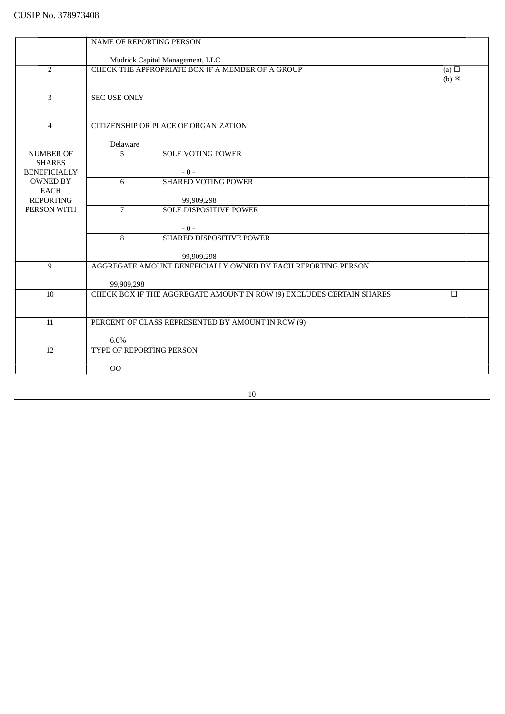| $\mathbf{1}$        | NAME OF REPORTING PERSON                                                       |                                                              |                 |
|---------------------|--------------------------------------------------------------------------------|--------------------------------------------------------------|-----------------|
|                     | Mudrick Capital Management, LLC                                                |                                                              |                 |
| 2                   |                                                                                | CHECK THE APPROPRIATE BOX IF A MEMBER OF A GROUP             | (a) $\Box$      |
|                     |                                                                                |                                                              | $(b) \boxtimes$ |
|                     |                                                                                |                                                              |                 |
| $\overline{3}$      | <b>SEC USE ONLY</b>                                                            |                                                              |                 |
|                     |                                                                                |                                                              |                 |
|                     |                                                                                |                                                              |                 |
| $\overline{4}$      |                                                                                | CITIZENSHIP OR PLACE OF ORGANIZATION                         |                 |
|                     |                                                                                |                                                              |                 |
| <b>NUMBER OF</b>    | Delaware<br>5                                                                  | <b>SOLE VOTING POWER</b>                                     |                 |
| <b>SHARES</b>       |                                                                                |                                                              |                 |
| <b>BENEFICIALLY</b> |                                                                                | $-0-$                                                        |                 |
| <b>OWNED BY</b>     | 6                                                                              | <b>SHARED VOTING POWER</b>                                   |                 |
| <b>EACH</b>         |                                                                                |                                                              |                 |
| <b>REPORTING</b>    |                                                                                | 99,909,298                                                   |                 |
| PERSON WITH         | $\overline{7}$                                                                 | <b>SOLE DISPOSITIVE POWER</b>                                |                 |
|                     |                                                                                |                                                              |                 |
|                     |                                                                                | $-0-$                                                        |                 |
|                     | 8                                                                              | SHARED DISPOSITIVE POWER                                     |                 |
|                     |                                                                                | 99,909,298                                                   |                 |
| 9                   |                                                                                | AGGREGATE AMOUNT BENEFICIALLY OWNED BY EACH REPORTING PERSON |                 |
|                     |                                                                                |                                                              |                 |
|                     | 99,909,298                                                                     |                                                              |                 |
| 10                  | CHECK BOX IF THE AGGREGATE AMOUNT IN ROW (9) EXCLUDES CERTAIN SHARES<br>$\Box$ |                                                              |                 |
|                     |                                                                                |                                                              |                 |
|                     |                                                                                |                                                              |                 |
| 11                  | PERCENT OF CLASS REPRESENTED BY AMOUNT IN ROW (9)                              |                                                              |                 |
|                     | 6.0%                                                                           |                                                              |                 |
| 12                  | TYPE OF REPORTING PERSON                                                       |                                                              |                 |
|                     |                                                                                |                                                              |                 |
|                     | 00                                                                             |                                                              |                 |
|                     |                                                                                |                                                              |                 |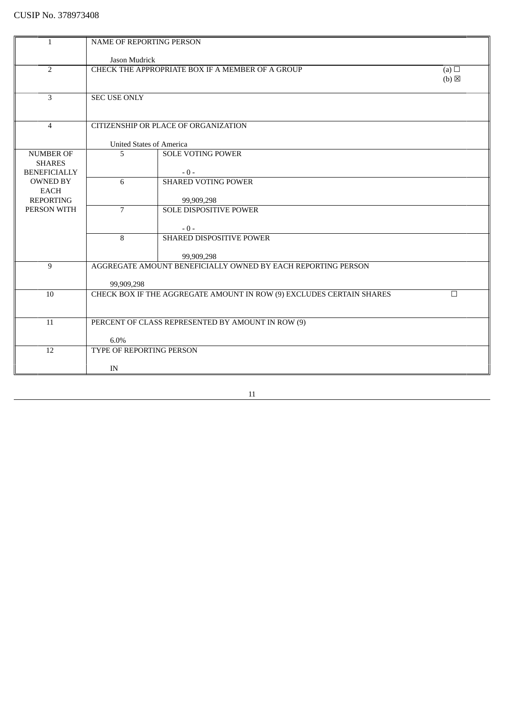| 1                               | NAME OF REPORTING PERSON                                                       |                                                  |                               |
|---------------------------------|--------------------------------------------------------------------------------|--------------------------------------------------|-------------------------------|
|                                 |                                                                                |                                                  |                               |
| $\overline{2}$                  | Jason Mudrick                                                                  | CHECK THE APPROPRIATE BOX IF A MEMBER OF A GROUP |                               |
|                                 |                                                                                |                                                  | (a) $\Box$<br>$(b) \boxtimes$ |
|                                 |                                                                                |                                                  |                               |
| 3                               | <b>SEC USE ONLY</b>                                                            |                                                  |                               |
|                                 |                                                                                |                                                  |                               |
|                                 |                                                                                |                                                  |                               |
| $\overline{4}$                  |                                                                                | CITIZENSHIP OR PLACE OF ORGANIZATION             |                               |
|                                 |                                                                                |                                                  |                               |
|                                 | <b>United States of America</b>                                                |                                                  |                               |
| <b>NUMBER OF</b>                | 5                                                                              | <b>SOLE VOTING POWER</b>                         |                               |
| <b>SHARES</b>                   |                                                                                |                                                  |                               |
| <b>BENEFICIALLY</b>             |                                                                                | $-0-$                                            |                               |
| <b>OWNED BY</b>                 | 6                                                                              | <b>SHARED VOTING POWER</b>                       |                               |
| <b>EACH</b><br><b>REPORTING</b> |                                                                                |                                                  |                               |
| PERSON WITH                     | $\overline{7}$                                                                 | 99,909,298<br><b>SOLE DISPOSITIVE POWER</b>      |                               |
|                                 |                                                                                |                                                  |                               |
|                                 |                                                                                | $-0-$                                            |                               |
|                                 | 8                                                                              | SHARED DISPOSITIVE POWER                         |                               |
|                                 |                                                                                |                                                  |                               |
|                                 |                                                                                | 99,909,298                                       |                               |
| 9                               | AGGREGATE AMOUNT BENEFICIALLY OWNED BY EACH REPORTING PERSON                   |                                                  |                               |
|                                 |                                                                                |                                                  |                               |
|                                 | 99,909,298                                                                     |                                                  |                               |
| 10                              | CHECK BOX IF THE AGGREGATE AMOUNT IN ROW (9) EXCLUDES CERTAIN SHARES<br>$\Box$ |                                                  |                               |
|                                 |                                                                                |                                                  |                               |
| 11                              |                                                                                |                                                  |                               |
|                                 | PERCENT OF CLASS REPRESENTED BY AMOUNT IN ROW (9)                              |                                                  |                               |
|                                 | 6.0%                                                                           |                                                  |                               |
| 12                              | TYPE OF REPORTING PERSON                                                       |                                                  |                               |
|                                 |                                                                                |                                                  |                               |
|                                 | IN                                                                             |                                                  |                               |
|                                 |                                                                                |                                                  |                               |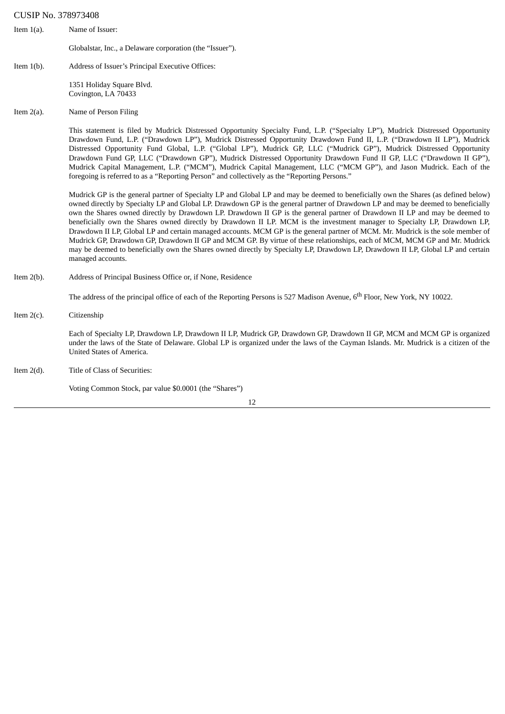#### CUSIP No. 378973408

- Item 1(a). Name of Issuer: Globalstar, Inc., a Delaware corporation (the "Issuer").
- Item 1(b). Address of Issuer's Principal Executive Offices:

1351 Holiday Square Blvd. Covington, LA 70433

#### Item 2(a). Name of Person Filing

This statement is filed by Mudrick Distressed Opportunity Specialty Fund, L.P. ("Specialty LP"), Mudrick Distressed Opportunity Drawdown Fund, L.P. ("Drawdown LP"), Mudrick Distressed Opportunity Drawdown Fund II, L.P. ("Drawdown II LP"), Mudrick Distressed Opportunity Fund Global, L.P. ("Global LP"), Mudrick GP, LLC ("Mudrick GP"), Mudrick Distressed Opportunity Drawdown Fund GP, LLC ("Drawdown GP"), Mudrick Distressed Opportunity Drawdown Fund II GP, LLC ("Drawdown II GP"), Mudrick Capital Management, L.P. ("MCM"), Mudrick Capital Management, LLC ("MCM GP"), and Jason Mudrick. Each of the foregoing is referred to as a "Reporting Person" and collectively as the "Reporting Persons."

Mudrick GP is the general partner of Specialty LP and Global LP and may be deemed to beneficially own the Shares (as defined below) owned directly by Specialty LP and Global LP. Drawdown GP is the general partner of Drawdown LP and may be deemed to beneficially own the Shares owned directly by Drawdown LP. Drawdown II GP is the general partner of Drawdown II LP and may be deemed to beneficially own the Shares owned directly by Drawdown II LP. MCM is the investment manager to Specialty LP, Drawdown LP, Drawdown II LP, Global LP and certain managed accounts. MCM GP is the general partner of MCM. Mr. Mudrick is the sole member of Mudrick GP, Drawdown GP, Drawdown II GP and MCM GP. By virtue of these relationships, each of MCM, MCM GP and Mr. Mudrick may be deemed to beneficially own the Shares owned directly by Specialty LP, Drawdown LP, Drawdown II LP, Global LP and certain managed accounts.

Item 2(b). Address of Principal Business Office or, if None, Residence

The address of the principal office of each of the Reporting Persons is 527 Madison Avenue, 6<sup>th</sup> Floor, New York, NY 10022.

Item 2(c). Citizenship

Each of Specialty LP, Drawdown LP, Drawdown II LP, Mudrick GP, Drawdown GP, Drawdown II GP, MCM and MCM GP is organized under the laws of the State of Delaware. Global LP is organized under the laws of the Cayman Islands. Mr. Mudrick is a citizen of the United States of America.

Item 2(d). Title of Class of Securities:

Voting Common Stock, par value \$0.0001 (the "Shares")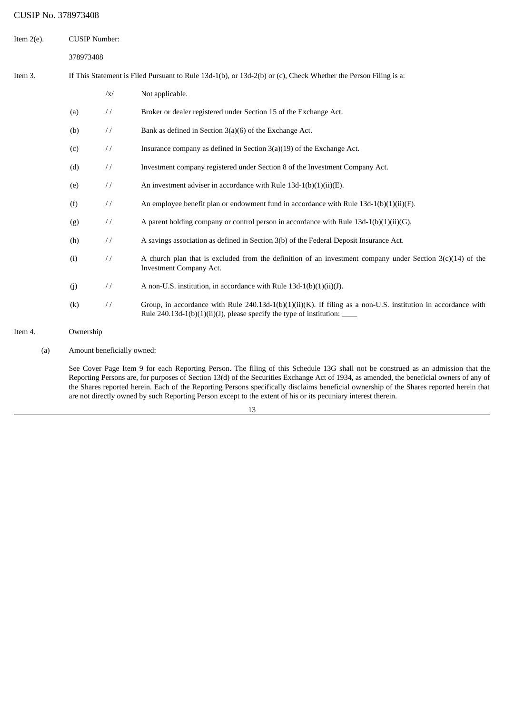# CUSIP No. 378973408

| Item $2(e)$ . | <b>CUSIP Number:</b> |               |                                                                                                                                                                                                     |
|---------------|----------------------|---------------|-----------------------------------------------------------------------------------------------------------------------------------------------------------------------------------------------------|
|               | 378973408            |               |                                                                                                                                                                                                     |
| Item 3.       |                      |               | If This Statement is Filed Pursuant to Rule 13d-1(b), or 13d-2(b) or (c), Check Whether the Person Filing is a:                                                                                     |
|               |                      | $\sqrt{x}$    | Not applicable.                                                                                                                                                                                     |
|               | (a)                  | $\frac{1}{2}$ | Broker or dealer registered under Section 15 of the Exchange Act.                                                                                                                                   |
|               | (b)                  | $\frac{1}{2}$ | Bank as defined in Section $3(a)(6)$ of the Exchange Act.                                                                                                                                           |
|               | (c)                  | $\frac{1}{2}$ | Insurance company as defined in Section 3(a)(19) of the Exchange Act.                                                                                                                               |
|               | (d)                  | $\frac{1}{2}$ | Investment company registered under Section 8 of the Investment Company Act.                                                                                                                        |
|               | (e)                  | $\frac{1}{2}$ | An investment adviser in accordance with Rule 13d-1(b)(1)(ii)(E).                                                                                                                                   |
|               | (f)                  | $\frac{1}{2}$ | An employee benefit plan or endowment fund in accordance with Rule $13d-1(b)(1)(ii)(F)$ .                                                                                                           |
|               | (g)                  | $\frac{1}{2}$ | A parent holding company or control person in accordance with Rule $13d-1(b)(1)(ii)(G)$ .                                                                                                           |
|               | (h)                  | $\frac{1}{2}$ | A savings association as defined in Section 3(b) of the Federal Deposit Insurance Act.                                                                                                              |
|               | (i)                  | $\frac{1}{2}$ | A church plan that is excluded from the definition of an investment company under Section $3(c)(14)$ of the<br><b>Investment Company Act.</b>                                                       |
|               | (j)                  | $\frac{1}{2}$ | A non-U.S. institution, in accordance with Rule 13d-1(b)(1)(ii)(J).                                                                                                                                 |
|               | (k)                  | $\frac{1}{2}$ | Group, in accordance with Rule 240.13d-1(b)(1)(ii)(K). If filing as a non-U.S. institution in accordance with<br>Rule 240.13d-1(b)(1)(ii)(J), please specify the type of institution: $\frac{ }{ }$ |
| Item 4.       | Ownership            |               |                                                                                                                                                                                                     |

(a) Amount beneficially owned:

See Cover Page Item 9 for each Reporting Person. The filing of this Schedule 13G shall not be construed as an admission that the Reporting Persons are, for purposes of Section 13(d) of the Securities Exchange Act of 1934, as amended, the beneficial owners of any of the Shares reported herein. Each of the Reporting Persons specifically disclaims beneficial ownership of the Shares reported herein that are not directly owned by such Reporting Person except to the extent of his or its pecuniary interest therein.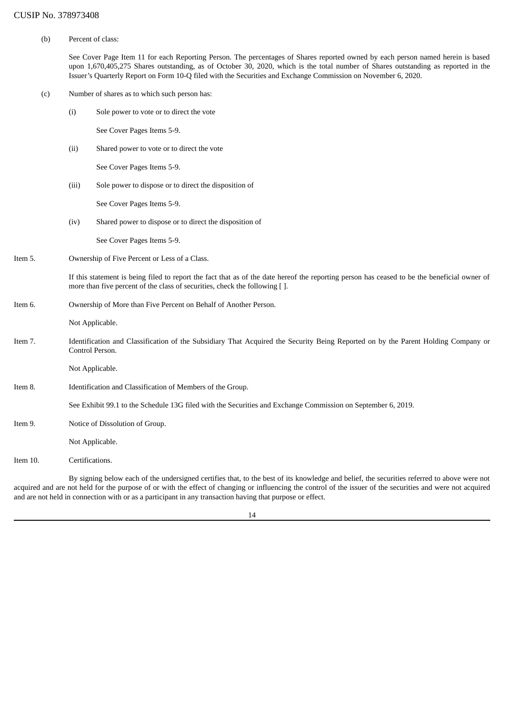(b) Percent of class:

See Cover Page Item 11 for each Reporting Person. The percentages of Shares reported owned by each person named herein is based upon 1,670,405,275 Shares outstanding, as of October 30, 2020, which is the total number of Shares outstanding as reported in the Issuer's Quarterly Report on Form 10-Q filed with the Securities and Exchange Commission on November 6, 2020.

- (c) Number of shares as to which such person has:
	- (i) Sole power to vote or to direct the vote

See Cover Pages Items 5-9.

(ii) Shared power to vote or to direct the vote

See Cover Pages Items 5-9.

(iii) Sole power to dispose or to direct the disposition of

See Cover Pages Items 5-9.

(iv) Shared power to dispose or to direct the disposition of

See Cover Pages Items 5-9.

Item 5. Ownership of Five Percent or Less of a Class.

If this statement is being filed to report the fact that as of the date hereof the reporting person has ceased to be the beneficial owner of more than five percent of the class of securities, check the following [ ].

Item 6. Ownership of More than Five Percent on Behalf of Another Person.

Not Applicable.

Item 7. Identification and Classification of the Subsidiary That Acquired the Security Being Reported on by the Parent Holding Company or Control Person.

Not Applicable.

Item 8. Identification and Classification of Members of the Group.

See Exhibit 99.1 to the Schedule 13G filed with the Securities and Exchange Commission on September 6, 2019.

Item 9. Notice of Dissolution of Group.

Not Applicable.

Item 10. Certifications.

By signing below each of the undersigned certifies that, to the best of its knowledge and belief, the securities referred to above were not acquired and are not held for the purpose of or with the effect of changing or influencing the control of the issuer of the securities and were not acquired and are not held in connection with or as a participant in any transaction having that purpose or effect.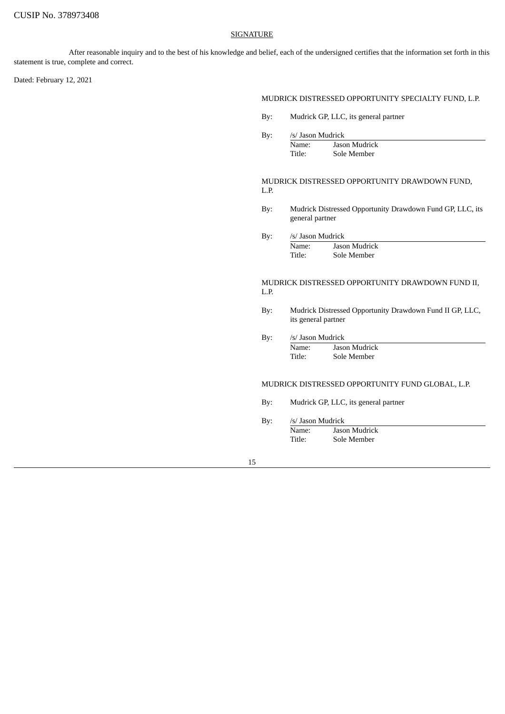### **SIGNATURE**

After reasonable inquiry and to the best of his knowledge and belief, each of the undersigned certifies that the information set forth in this statement is true, complete and correct.

Dated: February 12, 2021

## MUDRICK DISTRESSED OPPORTUNITY SPECIALTY FUND, L.P.

- By: Mudrick GP, LLC, its general partner
- By: /s/ Jason Mudrick

| Name:  | Jason Mudrick |
|--------|---------------|
| Title: | Sole Member   |

MUDRICK DISTRESSED OPPORTUNITY DRAWDOWN FUND, L.P.

- By: Mudrick Distressed Opportunity Drawdown Fund GP, LLC, its general partner
- By: /s/ Jason Mudrick
- Name: Jason Mudrick<br>Title: Sole Member Sole Member

MUDRICK DISTRESSED OPPORTUNITY DRAWDOWN FUND II, L.P.

- By: Mudrick Distressed Opportunity Drawdown Fund II GP, LLC, its general partner
- By: /s/ Jason Mudrick Name: Jason Mudrick
	- Title: Sole Member

# MUDRICK DISTRESSED OPPORTUNITY FUND GLOBAL, L.P.

- By: Mudrick GP, LLC, its general partner
- By: /s/ Jason Mudrick
	- Name: Jason Mudrick Title: Sole Member